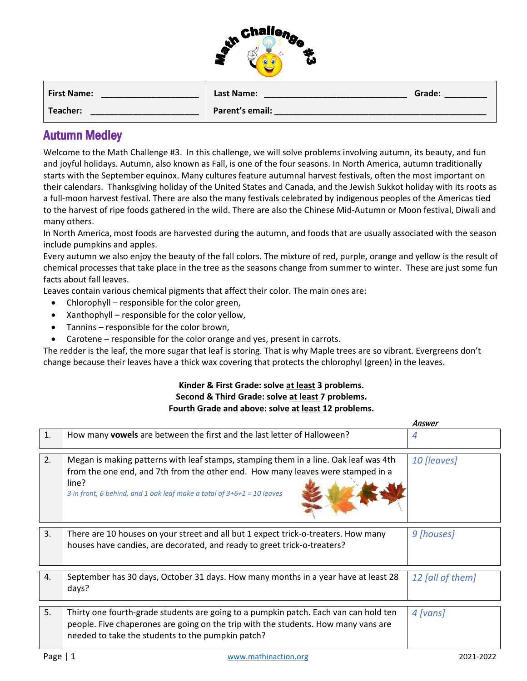

| <b>First Name:</b> | Last Name:      | Grade: |
|--------------------|-----------------|--------|
| Teacher:           | Parent's email: |        |

## Autumn Medley

Welcome to the Math Challenge #3. In this challenge, we will solve problems involving autumn, its beauty, and fun and joyful holidays. Autumn, also known as Fall, is one of the four seasons. In [North America,](about:blank) autumn traditionally starts with the [September equinox.](about:blank) Many cultures feature autumnal [harvest festivals,](about:blank) often the most important on their calendars. [Thanksgiving](about:blank) holiday of the United States and Canada, and the Jewish [Sukkot](about:blank) holiday with its roots as a full-moon harvest festival. There are also the many festivals celebrated by [indigenous peoples of the Americas](about:blank) tied to the harvest of ripe foods gathered in the wild. There are also the Chinese Mid-Autumn or [Moon festival,](about:blank) Diwali and many others.

In North America, most foods are harvested during the autumn, and foods that are usually associated with the season include [pumpkins](about:blank) and [apples.](about:blank)

Every autumn we also enjoy the beauty of the fall colors. The mixture of red, purple, orange and yellow is the result of chemical processes that take place in the tree as the seasons change from summer to winter. These are just some fun facts about fall leaves.

Leaves contain various chemical pigments that affect their color. The main ones are:

- Chlorophyll responsible for the color green,
- Xanthophyll responsible for the color yellow,
- Tannins responsible for the color brown,
- Carotene responsible for the color orange and yes, present in carrots.

The redder is the leaf, the more sugar that leaf is storing. That is why Maple trees are so vibrant. Evergreens don't change because their leaves have a thick wax covering that protects the chlorophyl (green) in the leaves.

## **Kinder & First Grade: solve at least 3 problems. Second & Third Grade: solve at least 7 problems. Fourth Grade and above: solve at least 12 problems.**

|    |                                                                                                                                                                                                                                                              | Answer           |
|----|--------------------------------------------------------------------------------------------------------------------------------------------------------------------------------------------------------------------------------------------------------------|------------------|
| 1. | How many vowels are between the first and the last letter of Halloween?                                                                                                                                                                                      | 4                |
| 2. | Megan is making patterns with leaf stamps, stamping them in a line. Oak leaf was 4th<br>from the one end, and 7th from the other end. How many leaves were stamped in a<br>line?<br>3 in front, 6 behind, and 1 oak leaf make a total of $3+6+1 = 10$ leaves | 10 [leaves]      |
| 3. | There are 10 houses on your street and all but 1 expect trick-o-treaters. How many<br>houses have candies, are decorated, and ready to greet trick-o-treaters?                                                                                               | 9 [houses]       |
| 4. | September has 30 days, October 31 days. How many months in a year have at least 28<br>days?                                                                                                                                                                  | 12 [all of them] |
| 5. | Thirty one fourth-grade students are going to a pumpkin patch. Each van can hold ten<br>people. Five chaperones are going on the trip with the students. How many vans are<br>needed to take the students to the pumpkin patch?                              | 4 [vans]         |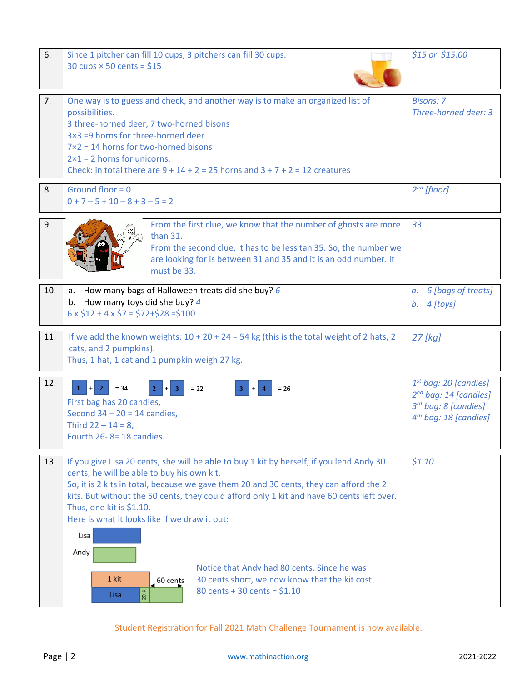| 6.  | Since 1 pitcher can fill 10 cups, 3 pitchers can fill 30 cups.<br>30 cups $\times$ 50 cents = \$15                                                                                                                                                                                                                                                                                                                                                                                                                                                                                               | $$15$ or $$15.00$                                                                                                  |
|-----|--------------------------------------------------------------------------------------------------------------------------------------------------------------------------------------------------------------------------------------------------------------------------------------------------------------------------------------------------------------------------------------------------------------------------------------------------------------------------------------------------------------------------------------------------------------------------------------------------|--------------------------------------------------------------------------------------------------------------------|
| 7.  | One way is to guess and check, and another way is to make an organized list of<br>possibilities.<br>3 three-horned deer, 7 two-horned bisons<br>3×3 =9 horns for three-horned deer<br>$7\times2 = 14$ horns for two-horned bisons<br>$2\times1 = 2$ horns for unicorns.<br>Check: in total there are $9 + 14 + 2 = 25$ horns and $3 + 7 + 2 = 12$ creatures                                                                                                                                                                                                                                      | <b>Bisons: 7</b><br>Three-horned deer: 3                                                                           |
| 8.  | Ground floor = $0$<br>$0 + 7 - 5 + 10 - 8 + 3 - 5 = 2$                                                                                                                                                                                                                                                                                                                                                                                                                                                                                                                                           | $2^{nd}$ [floor]                                                                                                   |
| 9.  | From the first clue, we know that the number of ghosts are more<br>than 31.<br>From the second clue, it has to be less tan 35. So, the number we<br>are looking for is between 31 and 35 and it is an odd number. It<br>must be 33.                                                                                                                                                                                                                                                                                                                                                              | 33                                                                                                                 |
| 10. | a. How many bags of Halloween treats did she buy? $6$<br>b. How many toys did she buy? $4$<br>$6 \times $12 + 4 \times $7 = $72 + $28 = $100$                                                                                                                                                                                                                                                                                                                                                                                                                                                    | 6 [bags of treats]<br>а.<br>b. $4$ [toys]                                                                          |
| 11. | If we add the known weights: $10 + 20 + 24 = 54$ kg (this is the total weight of 2 hats, 2<br>cats, and 2 pumpkins).<br>Thus, 1 hat, 1 cat and 1 pumpkin weigh 27 kg.                                                                                                                                                                                                                                                                                                                                                                                                                            | 27 [kg]                                                                                                            |
| 12. | $= 34$<br>$\overline{2}$<br>$= 26$<br>$+$<br>$=22$<br>First bag has 20 candies,<br>Second $34 - 20 = 14$ candies,<br>Third $22 - 14 = 8$ ,<br>Fourth 26-8=18 candies.                                                                                                                                                                                                                                                                                                                                                                                                                            | $1st$ bag: 20 [candies]<br>$2^{nd}$ bag: 14 [candies]<br>3rd bag: 8 [candies]<br>4 <sup>th</sup> bag: 18 [candies] |
| 13. | If you give Lisa 20 cents, she will be able to buy 1 kit by herself; if you lend Andy 30<br>cents, he will be able to buy his own kit.<br>So, it is 2 kits in total, because we gave them 20 and 30 cents, they can afford the 2<br>kits. But without the 50 cents, they could afford only 1 kit and have 60 cents left over.<br>Thus, one kit is \$1.10.<br>Here is what it looks like if we draw it out:<br>Lisa<br>Andy<br>Notice that Andy had 80 cents. Since he was<br>1 kit<br>30 cents short, we now know that the kit cost<br>60 cents<br>80 cents + 30 cents = $$1.10$<br>20 ¢<br>Lisa | \$1.10                                                                                                             |

Student Registration for [Fall 2021 Math Challenge Tournament](https://www.ellipsisacademy.com/fall-2021-math-challenge-tournament.html) is now available.